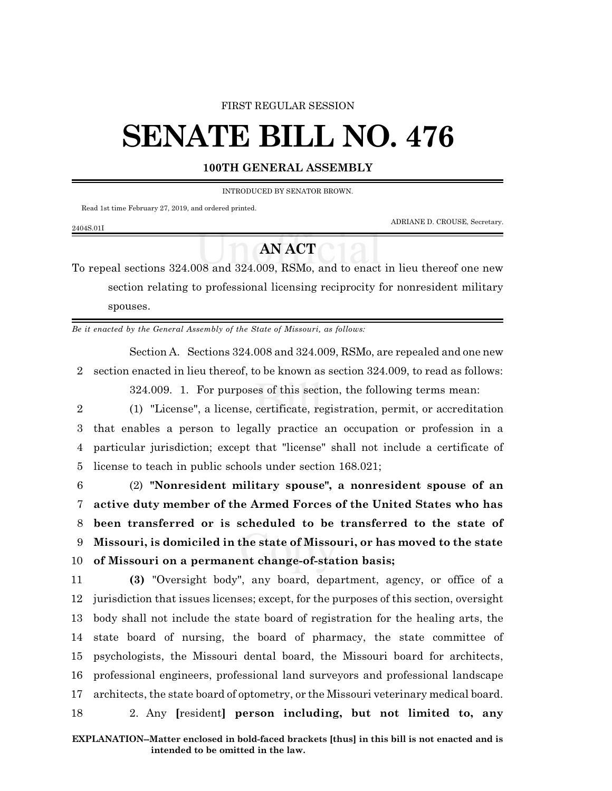### FIRST REGULAR SESSION

# **SENATE BILL NO. 476**

### **100TH GENERAL ASSEMBLY**

INTRODUCED BY SENATOR BROWN.

Read 1st time February 27, 2019, and ordered printed.

ADRIANE D. CROUSE, Secretary.

## **AN ACT**

To repeal sections 324.008 and 324.009, RSMo, and to enact in lieu thereof one new section relating to professional licensing reciprocity for nonresident military spouses.

*Be it enacted by the General Assembly of the State of Missouri, as follows:*

Section A. Sections 324.008 and 324.009, RSMo, are repealed and one new 2 section enacted in lieu thereof, to be known as section 324.009, to read as follows:

324.009. 1. For purposes of this section, the following terms mean:

 (1) "License", a license, certificate, registration, permit, or accreditation that enables a person to legally practice an occupation or profession in a particular jurisdiction; except that "license" shall not include a certificate of license to teach in public schools under section 168.021;

 (2) **"Nonresident military spouse", a nonresident spouse of an active duty member of the Armed Forces of the United States who has been transferred or is scheduled to be transferred to the state of Missouri, is domiciled in the state of Missouri, or has moved to the state of Missouri on a permanent change-of-station basis;**

 **(3)** "Oversight body", any board, department, agency, or office of a jurisdiction that issues licenses; except, for the purposes of this section, oversight body shall not include the state board of registration for the healing arts, the state board of nursing, the board of pharmacy, the state committee of psychologists, the Missouri dental board, the Missouri board for architects, professional engineers, professional land surveyors and professional landscape architects, the state board of optometry, or the Missouri veterinary medical board. 2. Any **[**resident**] person including, but not limited to, any**

### 2404S.01I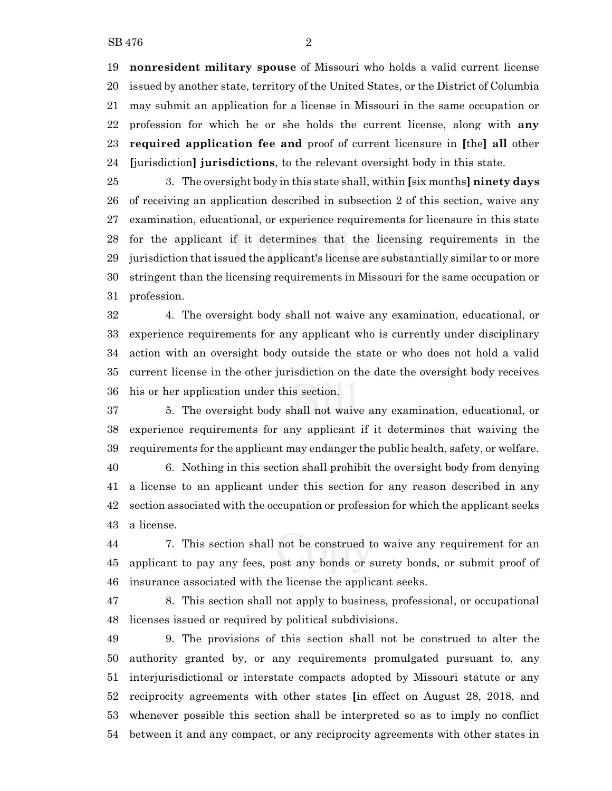**nonresident military spouse** of Missouri who holds a valid current license issued by another state, territory of the United States, or the District of Columbia may submit an application for a license in Missouri in the same occupation or profession for which he or she holds the current license, along with **any required application fee and** proof of current licensure in **[**the**] all** other **[**jurisdiction**] jurisdictions**, to the relevant oversight body in this state.

 3. The oversight body in this state shall, within **[**six months**] ninety days** of receiving an application described in subsection 2 of this section, waive any examination, educational, or experience requirements for licensure in this state for the applicant if it determines that the licensing requirements in the jurisdiction that issued the applicant's license are substantially similar to or more stringent than the licensing requirements in Missouri for the same occupation or profession.

 4. The oversight body shall not waive any examination, educational, or experience requirements for any applicant who is currently under disciplinary action with an oversight body outside the state or who does not hold a valid current license in the other jurisdiction on the date the oversight body receives his or her application under this section.

 5. The oversight body shall not waive any examination, educational, or experience requirements for any applicant if it determines that waiving the requirements for the applicant may endanger the public health, safety, or welfare.

 6. Nothing in this section shall prohibit the oversight body from denying a license to an applicant under this section for any reason described in any section associated with the occupation or profession for which the applicant seeks a license.

 7. This section shall not be construed to waive any requirement for an applicant to pay any fees, post any bonds or surety bonds, or submit proof of insurance associated with the license the applicant seeks.

 8. This section shall not apply to business, professional, or occupational licenses issued or required by political subdivisions.

 9. The provisions of this section shall not be construed to alter the authority granted by, or any requirements promulgated pursuant to, any interjurisdictional or interstate compacts adopted by Missouri statute or any reciprocity agreements with other states **[**in effect on August 28, 2018, and whenever possible this section shall be interpreted so as to imply no conflict between it and any compact, or any reciprocity agreements with other states in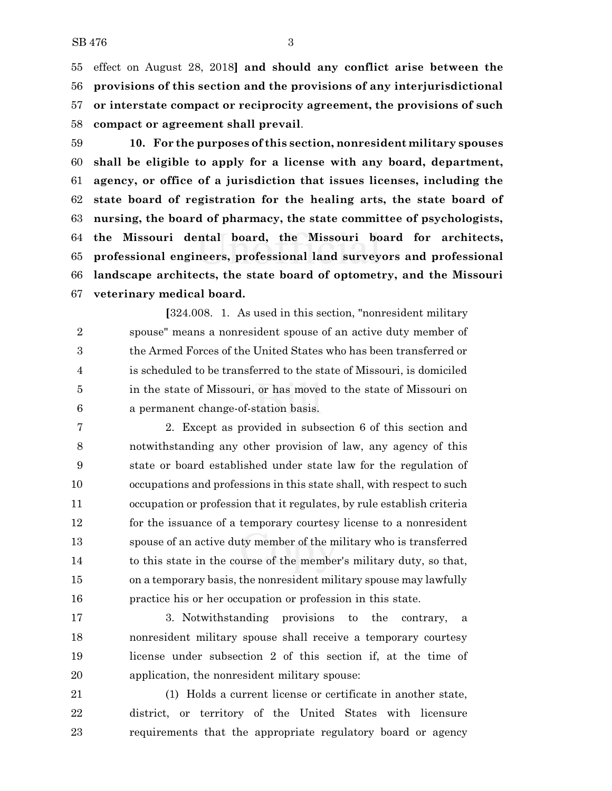effect on August 28, 2018**] and should any conflict arise between the provisions of this section and the provisions of any interjurisdictional or interstate compact or reciprocity agreement, the provisions of such compact or agreement shall prevail**.

 **10. For the purposes of this section, nonresident military spouses shall be eligible to apply for a license with any board, department, agency, or office of a jurisdiction that issues licenses, including the state board of registration for the healing arts, the state board of nursing, the board of pharmacy, the state committee of psychologists, the Missouri dental board, the Missouri board for architects, professional engineers, professional land surveyors and professional landscape architects, the state board of optometry, and the Missouri veterinary medical board.**

**[**324.008. 1. As used in this section, "nonresident military spouse" means a nonresident spouse of an active duty member of the Armed Forces of the United States who has been transferred or is scheduled to be transferred to the state of Missouri, is domiciled in the state of Missouri, or has moved to the state of Missouri on a permanent change-of-station basis.

 2. Except as provided in subsection 6 of this section and notwithstanding any other provision of law, any agency of this state or board established under state law for the regulation of occupations and professions in this state shall, with respect to such occupation or profession that it regulates, by rule establish criteria 12 for the issuance of a temporary courtesy license to a nonresident spouse of an active duty member of the military who is transferred to this state in the course of the member's military duty, so that, on a temporary basis, the nonresident military spouse may lawfully practice his or her occupation or profession in this state.

 3. Notwithstanding provisions to the contrary, a nonresident military spouse shall receive a temporary courtesy license under subsection 2 of this section if, at the time of application, the nonresident military spouse:

 (1) Holds a current license or certificate in another state, district, or territory of the United States with licensure requirements that the appropriate regulatory board or agency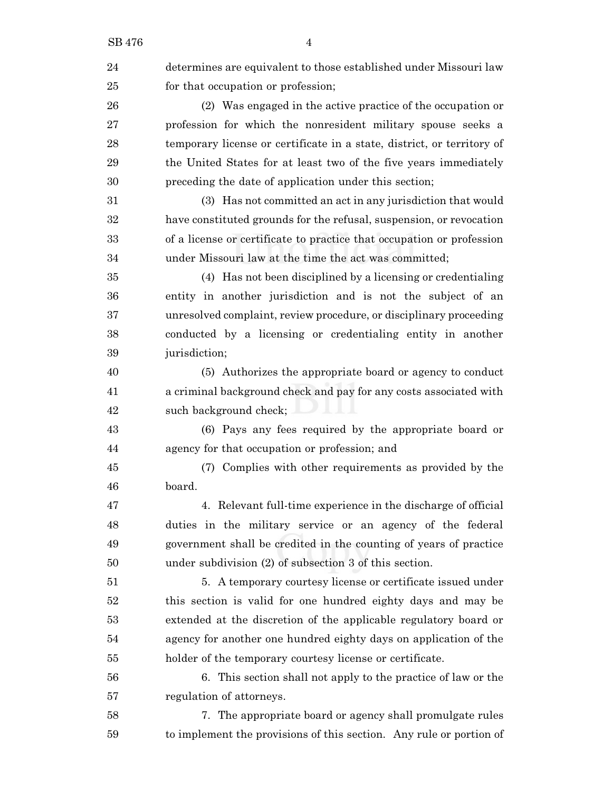| 24 | determines are equivalent to those established under Missouri law      |
|----|------------------------------------------------------------------------|
| 25 | for that occupation or profession;                                     |
| 26 | (2) Was engaged in the active practice of the occupation or            |
| 27 | profession for which the nonresident military spouse seeks a           |
| 28 | temporary license or certificate in a state, district, or territory of |
| 29 | the United States for at least two of the five years immediately       |
| 30 | preceding the date of application under this section;                  |
| 31 | (3) Has not committed an act in any jurisdiction that would            |
| 32 | have constituted grounds for the refusal, suspension, or revocation    |
| 33 | of a license or certificate to practice that occupation or profession  |
| 34 | under Missouri law at the time the act was committed;                  |
| 35 | (4) Has not been disciplined by a licensing or credentialing           |
| 36 | entity in another jurisdiction and is not the subject of an            |
| 37 | unresolved complaint, review procedure, or disciplinary proceeding     |
| 38 | conducted by a licensing or credentialing entity in another            |
| 39 | jurisdiction;                                                          |
| 40 | (5) Authorizes the appropriate board or agency to conduct              |
| 41 | a criminal background check and pay for any costs associated with      |
| 42 | such background check;                                                 |
| 43 | (6) Pays any fees required by the appropriate board or                 |
| 44 | agency for that occupation or profession; and                          |
| 45 | (7) Complies with other requirements as provided by the                |
| 46 | board.                                                                 |
| 47 | 4. Relevant full-time experience in the discharge of official          |
| 48 | duties in the military service or an agency of the federal             |
| 49 | government shall be credited in the counting of years of practice      |
| 50 | under subdivision (2) of subsection 3 of this section.                 |
| 51 | 5. A temporary courtesy license or certificate issued under            |
| 52 | this section is valid for one hundred eighty days and may be           |
| 53 | extended at the discretion of the applicable regulatory board or       |
| 54 | agency for another one hundred eighty days on application of the       |
| 55 | holder of the temporary courtesy license or certificate.               |
| 56 | 6. This section shall not apply to the practice of law or the          |
| 57 | regulation of attorneys.                                               |
| 58 | 7. The appropriate board or agency shall promulgate rules              |
| 59 | to implement the provisions of this section. Any rule or portion of    |